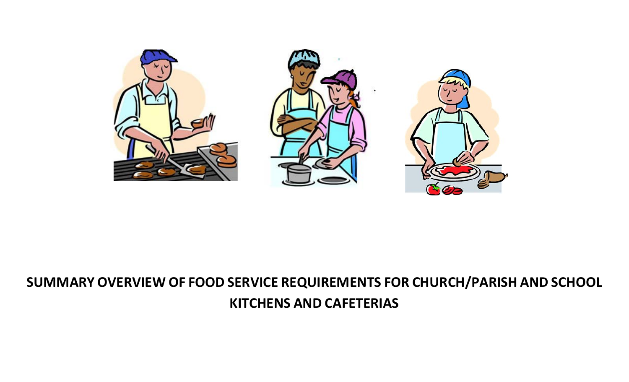

# **SUMMARY OVERVIEW OF FOOD SERVICE REQUIREMENTS FOR CHURCH/PARISH AND SCHOOL KITCHENS AND CAFETERIAS**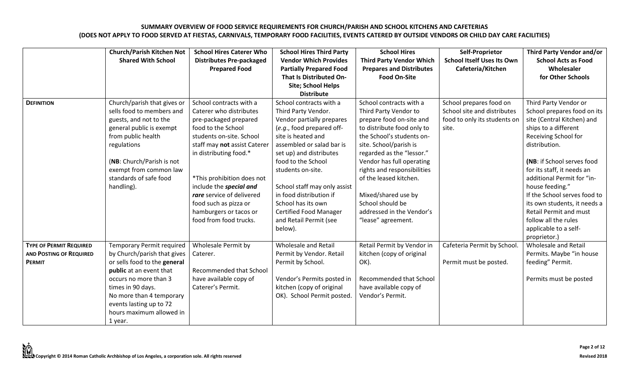|                                                                                   | <b>Church/Parish Kitchen Not</b><br><b>Shared With School</b>                                                                                                                                                                                                          | <b>School Hires Caterer Who</b><br><b>Distributes Pre-packaged</b><br><b>Prepared Food</b>                                                                                                                                                                                                                                                                 | <b>School Hires Third Party</b><br><b>Vendor Which Provides</b><br><b>Partially Prepared Food</b><br>That Is Distributed On-                                                                                                                                                                                                                                                             | <b>School Hires</b><br><b>Third Party Vendor Which</b><br><b>Prepares and Distributes</b><br><b>Food On-Site</b>                                                                                                                                                                                                                                                                   | Self-Proprietor<br><b>School Itself Uses Its Own</b><br>Cafeteria/Kitchen                       | Third Party Vendor and/or<br><b>School Acts as Food</b><br>Wholesaler<br>for Other Schools                                                                                                                                                                                                                                                                                                                         |
|-----------------------------------------------------------------------------------|------------------------------------------------------------------------------------------------------------------------------------------------------------------------------------------------------------------------------------------------------------------------|------------------------------------------------------------------------------------------------------------------------------------------------------------------------------------------------------------------------------------------------------------------------------------------------------------------------------------------------------------|------------------------------------------------------------------------------------------------------------------------------------------------------------------------------------------------------------------------------------------------------------------------------------------------------------------------------------------------------------------------------------------|------------------------------------------------------------------------------------------------------------------------------------------------------------------------------------------------------------------------------------------------------------------------------------------------------------------------------------------------------------------------------------|-------------------------------------------------------------------------------------------------|--------------------------------------------------------------------------------------------------------------------------------------------------------------------------------------------------------------------------------------------------------------------------------------------------------------------------------------------------------------------------------------------------------------------|
|                                                                                   |                                                                                                                                                                                                                                                                        |                                                                                                                                                                                                                                                                                                                                                            | Site; School Helps<br><b>Distribute</b>                                                                                                                                                                                                                                                                                                                                                  |                                                                                                                                                                                                                                                                                                                                                                                    |                                                                                                 |                                                                                                                                                                                                                                                                                                                                                                                                                    |
| <b>DEFINITION</b>                                                                 | Church/parish that gives or<br>sells food to members and<br>guests, and not to the<br>general public is exempt<br>from public health<br>regulations<br>(NB: Church/Parish is not<br>exempt from common law<br>standards of safe food<br>handling).                     | School contracts with a<br>Caterer who distributes<br>pre-packaged prepared<br>food to the School<br>students on-site. School<br>staff may not assist Caterer<br>in distributing food.*<br>*This prohibition does not<br>include the special and<br>rare service of delivered<br>food such as pizza or<br>hamburgers or tacos or<br>food from food trucks. | School contracts with a<br>Third Party Vendor.<br>Vendor partially prepares<br>(e.g., food prepared off-<br>site is heated and<br>assembled or salad bar is<br>set up) and distributes<br>food to the School<br>students on-site.<br>School staff may only assist<br>in food distribution if<br>School has its own<br><b>Certified Food Manager</b><br>and Retail Permit (see<br>below). | School contracts with a<br>Third Party Vendor to<br>prepare food on-site and<br>to distribute food only to<br>the School's students on-<br>site. School/parish is<br>regarded as the "lessor."<br>Vendor has full operating<br>rights and responsibilities<br>of the leased kitchen.<br>Mixed/shared use by<br>School should be<br>addressed in the Vendor's<br>"lease" agreement. | School prepares food on<br>School site and distributes<br>food to only its students or<br>site. | Third Party Vendor or<br>School prepares food on its<br>site (Central Kitchen) and<br>ships to a different<br>Receiving School for<br>distribution.<br>(NB: if School serves food<br>for its staff, it needs an<br>additional Permit for "in-<br>house feeding."<br>If the School serves food to<br>its own students, it needs a<br><b>Retail Permit and must</b><br>follow all the rules<br>applicable to a self- |
| <b>TYPE OF PERMIT REQUIRED</b><br><b>AND POSTING OF REQUIRED</b><br><b>PERMIT</b> | <b>Temporary Permit required</b><br>by Church/parish that gives<br>or sells food to the general<br>public at an event that<br>occurs no more than 3<br>times in 90 days.<br>No more than 4 temporary<br>events lasting up to 72<br>hours maximum allowed in<br>1 year. | <b>Wholesale Permit by</b><br>Caterer.<br><b>Recommended that School</b><br>have available copy of<br>Caterer's Permit.                                                                                                                                                                                                                                    | Wholesale and Retail<br>Permit by Vendor. Retail<br>Permit by School.<br>Vendor's Permits posted in<br>kitchen (copy of original<br>OK). School Permit posted.                                                                                                                                                                                                                           | Retail Permit by Vendor in<br>kitchen (copy of original<br>OK).<br>Recommended that School<br>have available copy of<br>Vendor's Permit.                                                                                                                                                                                                                                           | Cafeteria Permit by School<br>Permit must be posted.                                            | proprietor.)<br>Wholesale and Retail<br>Permits. Maybe "in house<br>feeding" Permit.<br>Permits must be posted                                                                                                                                                                                                                                                                                                     |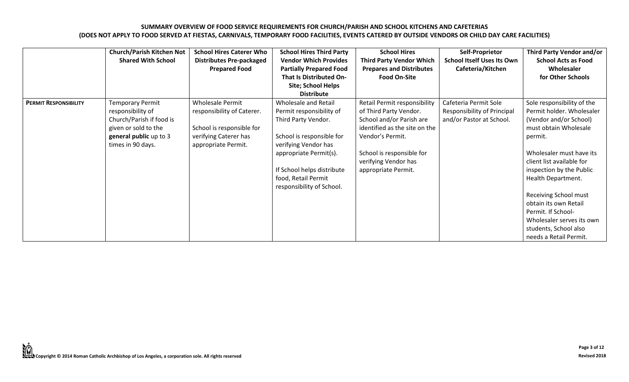|                              | <b>Church/Parish Kitchen Not</b><br><b>Shared With School</b>                                                                                   | <b>School Hires Caterer Who</b><br><b>Distributes Pre-packaged</b><br><b>Prepared Food</b>                                         | <b>School Hires Third Party</b><br><b>Vendor Which Provides</b><br><b>Partially Prepared Food</b><br>That Is Distributed On-<br><b>Site; School Helps</b><br><b>Distribute</b>                                                                  | <b>School Hires</b><br><b>Third Party Vendor Which</b><br><b>Prepares and Distributes</b><br><b>Food On-Site</b>                                                                                                    | Self-Proprietor<br><b>School Itself Uses Its Own</b><br>Cafeteria/Kitchen               | Third Party Vendor and/or<br><b>School Acts as Food</b><br>Wholesaler<br>for Other Schools                                                                                                                                                                                                                                                                                                      |
|------------------------------|-------------------------------------------------------------------------------------------------------------------------------------------------|------------------------------------------------------------------------------------------------------------------------------------|-------------------------------------------------------------------------------------------------------------------------------------------------------------------------------------------------------------------------------------------------|---------------------------------------------------------------------------------------------------------------------------------------------------------------------------------------------------------------------|-----------------------------------------------------------------------------------------|-------------------------------------------------------------------------------------------------------------------------------------------------------------------------------------------------------------------------------------------------------------------------------------------------------------------------------------------------------------------------------------------------|
| <b>PERMIT RESPONSIBILITY</b> | <b>Temporary Permit</b><br>responsibility of<br>Church/Parish if food is<br>given or sold to the<br>general public up to 3<br>times in 90 days. | <b>Wholesale Permit</b><br>responsibility of Caterer.<br>School is responsible for<br>verifying Caterer has<br>appropriate Permit. | <b>Wholesale and Retail</b><br>Permit responsibility of<br>Third Party Vendor.<br>School is responsible for<br>verifying Vendor has<br>appropriate Permit(s).<br>If School helps distribute<br>food, Retail Permit<br>responsibility of School. | Retail Permit responsibility<br>of Third Party Vendor.<br>School and/or Parish are<br>identified as the site on the<br>Vendor's Permit.<br>School is responsible for<br>verifying Vendor has<br>appropriate Permit. | Cafeteria Permit Sole<br><b>Responsibility of Principal</b><br>and/or Pastor at School. | Sole responsibility of the<br>Permit holder. Wholesaler<br>(Vendor and/or School)<br>must obtain Wholesale<br>permit.<br>Wholesaler must have its<br>client list available for<br>inspection by the Public<br>Health Department.<br><b>Receiving School must</b><br>obtain its own Retail<br>Permit. If School-<br>Wholesaler serves its own<br>students, School also<br>needs a Retail Permit. |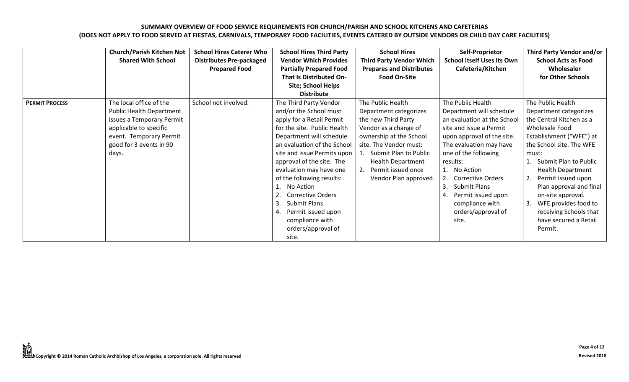|                       | <b>Church/Parish Kitchen Not</b><br><b>Shared With School</b>                                                                                                             | <b>School Hires Caterer Who</b><br><b>Distributes Pre-packaged</b><br><b>Prepared Food</b> | <b>School Hires Third Party</b><br><b>Vendor Which Provides</b><br><b>Partially Prepared Food</b><br>That Is Distributed On-<br>Site; School Helps<br><b>Distribute</b>                                                                                                                                                                                                                                                           | <b>School Hires</b><br><b>Third Party Vendor Which</b><br><b>Prepares and Distributes</b><br><b>Food On-Site</b>                                                                                                                                           | Self-Proprietor<br><b>School Itself Uses Its Own</b><br>Cafeteria/Kitchen                                                                                                                                                                                                                                                                        | Third Party Vendor and/or<br><b>School Acts as Food</b><br>Wholesaler<br>for Other Schools                                                                                                                                                                                                                                                                                         |
|-----------------------|---------------------------------------------------------------------------------------------------------------------------------------------------------------------------|--------------------------------------------------------------------------------------------|-----------------------------------------------------------------------------------------------------------------------------------------------------------------------------------------------------------------------------------------------------------------------------------------------------------------------------------------------------------------------------------------------------------------------------------|------------------------------------------------------------------------------------------------------------------------------------------------------------------------------------------------------------------------------------------------------------|--------------------------------------------------------------------------------------------------------------------------------------------------------------------------------------------------------------------------------------------------------------------------------------------------------------------------------------------------|------------------------------------------------------------------------------------------------------------------------------------------------------------------------------------------------------------------------------------------------------------------------------------------------------------------------------------------------------------------------------------|
| <b>PERMIT PROCESS</b> | The local office of the<br>Public Health Department<br>issues a Temporary Permit<br>applicable to specific<br>event. Temporary Permit<br>good for 3 events in 90<br>days. | School not involved.                                                                       | The Third Party Vendor<br>and/or the School must<br>apply for a Retail Permit<br>for the site. Public Health<br>Department will schedule<br>an evaluation of the School<br>site and issue Permits upon<br>approval of the site. The<br>evaluation may have one<br>of the following results:<br>No Action<br><b>Corrective Orders</b><br>3<br>Submit Plans<br>Permit issued upon<br>compliance with<br>orders/approval of<br>site. | The Public Health<br>Department categorizes<br>the new Third Party<br>Vendor as a change of<br>ownership at the School<br>site. The Vendor must:<br>Submit Plan to Public<br><b>Health Department</b><br>2.<br>Permit issued once<br>Vendor Plan approved. | The Public Health<br>Department will schedule<br>an evaluation at the School<br>site and issue a Permit<br>upon approval of the site.<br>The evaluation may have<br>one of the following<br>results:<br>1. No Action<br>2. Corrective Orders<br>3.<br>Submit Plans<br>Permit issued upon<br>4.<br>compliance with<br>orders/approval of<br>site. | The Public Health<br>Department categorizes<br>the Central Kitchen as a<br>Wholesale Food<br>Establishment ("WFE") at<br>the School site. The WFE<br>must:<br>Submit Plan to Public<br><b>Health Department</b><br>Permit issued upon<br>-2.<br>Plan approval and final<br>on-site approval.<br>WFE provides food to<br>receiving Schools that<br>have secured a Retail<br>Permit. |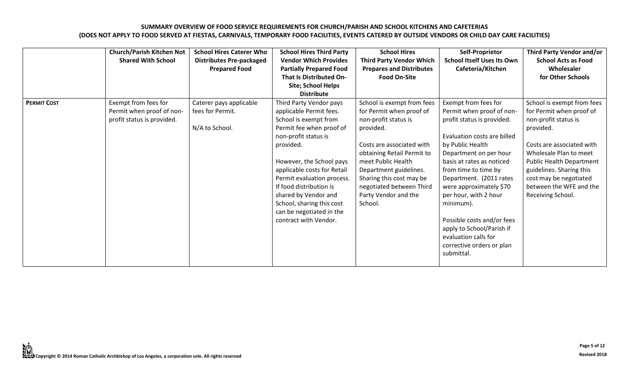|                    | <b>Church/Parish Kitchen Not</b><br><b>Shared With School</b>                   | <b>School Hires Caterer Who</b><br><b>Distributes Pre-packaged</b><br><b>Prepared Food</b> | <b>School Hires Third Party</b><br><b>Vendor Which Provides</b><br><b>Partially Prepared Food</b><br><b>That Is Distributed On-</b><br><b>Site; School Helps</b><br><b>Distribute</b>                                                                                                                                                                                      | <b>School Hires</b><br><b>Third Party Vendor Which</b><br><b>Prepares and Distributes</b><br><b>Food On-Site</b>                                                                                                                                                                                  | Self-Proprietor<br><b>School Itself Uses Its Own</b><br>Cafeteria/Kitchen                                                                                                                                                                                                                                                                                                                                                                   | Third Party Vendor and/or<br><b>School Acts as Food</b><br>Wholesaler<br>for Other Schools                                                                                                                                                                                           |
|--------------------|---------------------------------------------------------------------------------|--------------------------------------------------------------------------------------------|----------------------------------------------------------------------------------------------------------------------------------------------------------------------------------------------------------------------------------------------------------------------------------------------------------------------------------------------------------------------------|---------------------------------------------------------------------------------------------------------------------------------------------------------------------------------------------------------------------------------------------------------------------------------------------------|---------------------------------------------------------------------------------------------------------------------------------------------------------------------------------------------------------------------------------------------------------------------------------------------------------------------------------------------------------------------------------------------------------------------------------------------|--------------------------------------------------------------------------------------------------------------------------------------------------------------------------------------------------------------------------------------------------------------------------------------|
| <b>PERMIT COST</b> | Exempt from fees for<br>Permit when proof of non-<br>profit status is provided. | Caterer pays applicable<br>fees for Permit.<br>N/A to School.                              | Third Party Vendor pays<br>applicable Permit fees.<br>School is exempt from<br>Permit fee when proof of<br>non-profit status is<br>provided.<br>However, the School pays<br>applicable costs for Retail<br>Permit evaluation process.<br>If food distribution is<br>shared by Vendor and<br>School, sharing this cost<br>can be negotiated in the<br>contract with Vendor. | School is exempt from fees<br>for Permit when proof of<br>non-profit status is<br>provided.<br>Costs are associated with<br>obtaining Retail Permit to<br>meet Public Health<br>Department guidelines.<br>Sharing this cost may be<br>negotiated between Third<br>Party Vendor and the<br>School. | Exempt from fees for<br>Permit when proof of non-<br>profit status is provided.<br>Evaluation costs are billed<br>by Public Health<br>Department on per hour<br>basis at rates as noticed<br>from time to time by<br>Department. (2011 rates<br>were approximately \$70<br>per hour, with 2 hour<br>minimum).<br>Possible costs and/or fees<br>apply to School/Parish if<br>evaluation calls for<br>corrective orders or plan<br>submittal. | School is exempt from fees<br>for Permit when proof of<br>non-profit status is<br>provided.<br>Costs are associated with<br>Wholesale Plan to meet<br>Public Health Department<br>guidelines. Sharing this<br>cost may be negotiated<br>between the WFE and the<br>Receiving School. |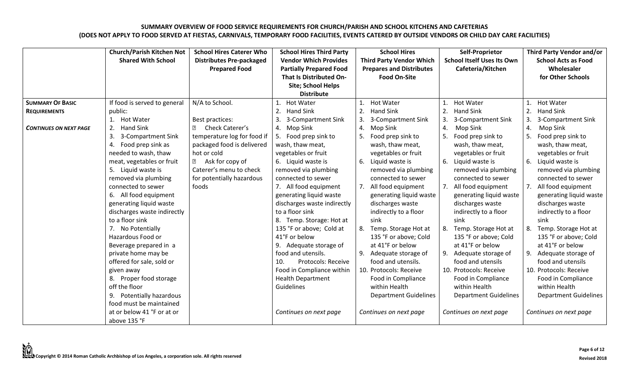|                               | <b>Church/Parish Kitchen Not</b> | <b>School Hires Caterer Who</b> | <b>School Hires Third Party</b>  | <b>School Hires</b>             | Self-Proprietor                   | Third Party Vendor and/or        |
|-------------------------------|----------------------------------|---------------------------------|----------------------------------|---------------------------------|-----------------------------------|----------------------------------|
|                               | <b>Shared With School</b>        | <b>Distributes Pre-packaged</b> | <b>Vendor Which Provides</b>     | <b>Third Party Vendor Which</b> | <b>School Itself Uses Its Own</b> | <b>School Acts as Food</b>       |
|                               |                                  | <b>Prepared Food</b>            | <b>Partially Prepared Food</b>   | <b>Prepares and Distributes</b> | Cafeteria/Kitchen                 | Wholesaler                       |
|                               |                                  |                                 | <b>That Is Distributed On-</b>   | <b>Food On-Site</b>             |                                   | for Other Schools                |
|                               |                                  |                                 | Site; School Helps               |                                 |                                   |                                  |
|                               |                                  |                                 | <b>Distribute</b>                |                                 |                                   |                                  |
| <b>SUMMARY OF BASIC</b>       | If food is served to general     | N/A to School.                  | <b>Hot Water</b><br>$\mathbf{1}$ | <b>Hot Water</b><br>1.          | <b>Hot Water</b>                  | <b>Hot Water</b><br>$\mathbf{1}$ |
| <b>REQUIREMENTS</b>           | public:                          |                                 | 2.<br><b>Hand Sink</b>           | 2.<br><b>Hand Sink</b>          | 2.<br><b>Hand Sink</b>            | 2.<br><b>Hand Sink</b>           |
|                               | <b>Hot Water</b><br>1.           | Best practices:                 | 3.<br>3-Compartment Sink         | 3.<br>3-Compartment Sink        | 3.<br>3-Compartment Sink          | 3.<br>3-Compartment Sink         |
| <b>CONTINUES ON NEXT PAGE</b> | 2.<br>Hand Sink                  | Check Caterer's<br>?            | 4. Mop Sink                      | 4.<br>Mop Sink                  | 4.<br>Mop Sink                    | 4.<br>Mop Sink                   |
|                               | 3.<br>3-Compartment Sink         | temperature log for food if     | 5. Food prep sink to             | Food prep sink to               | 5.<br>Food prep sink to           | 5.<br>Food prep sink to          |
|                               | Food prep sink as<br>4.          | packaged food is delivered      | wash, thaw meat,                 | wash, thaw meat,                | wash, thaw meat,                  | wash, thaw meat,                 |
|                               | needed to wash, thaw             | hot or cold                     | vegetables or fruit              | vegetables or fruit             | vegetables or fruit               | vegetables or fruit              |
|                               | meat, vegetables or fruit        | Ask for copy of<br>?            | 6. Liquid waste is               | 6.<br>Liquid waste is           | 6. Liquid waste is                | 6.<br>Liquid waste is            |
|                               | 5. Liquid waste is               | Caterer's menu to check         | removed via plumbing             | removed via plumbing            | removed via plumbing              | removed via plumbing             |
|                               | removed via plumbing             | for potentially hazardous       | connected to sewer               | connected to sewer              | connected to sewer                | connected to sewer               |
|                               | connected to sewer               | foods                           | 7. All food equipment            | All food equipment<br>7.        | 7. All food equipment             | All food equipment<br>7.         |
|                               | 6. All food equipment            |                                 | generating liquid waste          | generating liquid waste         | generating liquid waste           | generating liquid waste          |
|                               | generating liquid waste          |                                 | discharges waste indirectly      | discharges waste                | discharges waste                  | discharges waste                 |
|                               | discharges waste indirectly      |                                 | to a floor sink                  | indirectly to a floor           | indirectly to a floor             | indirectly to a floor            |
|                               | to a floor sink                  |                                 | 8. Temp. Storage: Hot at         | sink                            | sink                              | sink                             |
|                               | 7. No Potentially                |                                 | 135 °F or above; Cold at         | Temp. Storage Hot at<br>8.      | 8. Temp. Storage Hot at           | Temp. Storage Hot at<br>8.       |
|                               | Hazardous Food or                |                                 | 41°F or below                    | 135 °F or above; Cold           | 135 °F or above; Cold             | 135 °F or above; Cold            |
|                               | Beverage prepared in a           |                                 | 9. Adequate storage of           | at 41°F or below                | at 41°F or below                  | at 41°F or below                 |
|                               | private home may be              |                                 | food and utensils.               | 9.<br>Adequate storage of       | 9. Adequate storage of            | 9. Adequate storage of           |
|                               | offered for sale, sold or        |                                 | 10.<br>Protocols: Receive        | food and utensils.              | food and utensils                 | food and utensils                |
|                               | given away                       |                                 | Food in Compliance within        | 10. Protocols: Receive          | 10. Protocols: Receive            | 10. Protocols: Receive           |
|                               | 8. Proper food storage           |                                 | <b>Health Department</b>         | Food in Compliance              | Food in Compliance                | Food in Compliance               |
|                               | off the floor                    |                                 | Guidelines                       | within Health                   | within Health                     | within Health                    |
|                               | 9. Potentially hazardous         |                                 |                                  | <b>Department Guidelines</b>    | <b>Department Guidelines</b>      | <b>Department Guidelines</b>     |
|                               | food must be maintained          |                                 |                                  |                                 |                                   |                                  |
|                               | at or below 41 °F or at or       |                                 | Continues on next page           | Continues on next page          | Continues on next page            | Continues on next page           |
|                               | above 135 °F                     |                                 |                                  |                                 |                                   |                                  |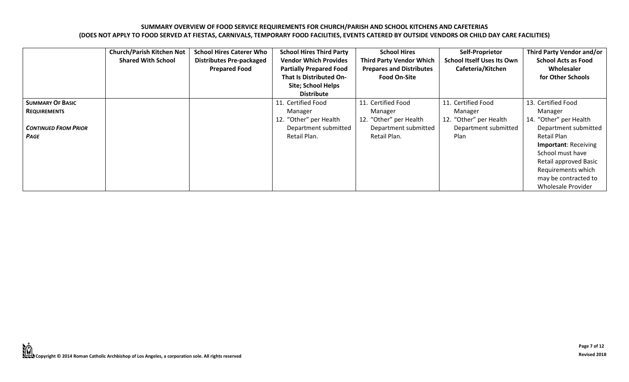|                                                                                              | <b>Church/Parish Kitchen Not</b><br><b>Shared With School</b> | <b>School Hires Caterer Who</b><br><b>Distributes Pre-packaged</b><br><b>Prepared Food</b> | <b>School Hires Third Party</b><br><b>Vendor Which Provides</b><br><b>Partially Prepared Food</b><br><b>That Is Distributed On-</b><br>Site; School Helps<br><b>Distribute</b> | <b>School Hires</b><br><b>Third Party Vendor Which</b><br><b>Prepares and Distributes</b><br><b>Food On-Site</b> | Self-Proprietor<br><b>School Itself Uses Its Own</b><br>Cafeteria/Kitchen               | Third Party Vendor and/or<br><b>School Acts as Food</b><br>Wholesaler<br>for Other Schools                                                                                                                                                            |
|----------------------------------------------------------------------------------------------|---------------------------------------------------------------|--------------------------------------------------------------------------------------------|--------------------------------------------------------------------------------------------------------------------------------------------------------------------------------|------------------------------------------------------------------------------------------------------------------|-----------------------------------------------------------------------------------------|-------------------------------------------------------------------------------------------------------------------------------------------------------------------------------------------------------------------------------------------------------|
| <b>SUMMARY OF BASIC</b><br><b>REQUIREMENTS</b><br><b>CONTINUED FROM PRIOR</b><br><b>PAGE</b> |                                                               |                                                                                            | 11. Certified Food<br>Manager<br>12. "Other" per Health<br>Department submitted<br>Retail Plan.                                                                                | 11. Certified Food<br>Manager<br>12. "Other" per Health<br>Department submitted<br>Retail Plan.                  | 11. Certified Food<br>Manager<br>12. "Other" per Health<br>Department submitted<br>Plan | 13. Certified Food<br>Manager<br>14. "Other" per Health<br>Department submitted<br>Retail Plan<br><b>Important: Receiving</b><br>School must have<br>Retail approved Basic<br>Requirements which<br>may be contracted to<br><b>Wholesale Provider</b> |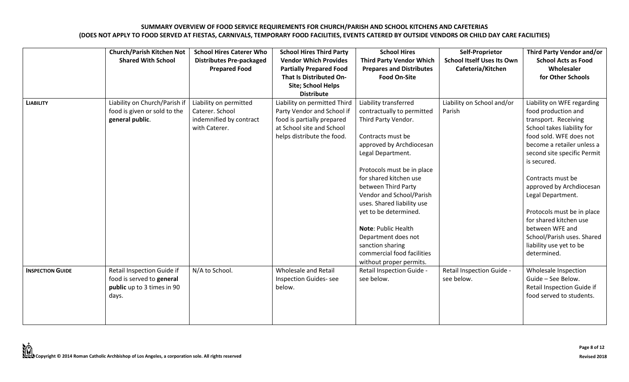|                         | <b>Church/Parish Kitchen Not</b><br><b>Shared With School</b>                                  | <b>School Hires Caterer Who</b><br><b>Distributes Pre-packaged</b><br><b>Prepared Food</b> | <b>School Hires Third Party</b><br><b>Vendor Which Provides</b><br><b>Partially Prepared Food</b><br>That Is Distributed On-<br>Site; School Helps<br><b>Distribute</b> | <b>School Hires</b><br><b>Third Party Vendor Which</b><br><b>Prepares and Distributes</b><br><b>Food On-Site</b>                                                                                                                                                   | Self-Proprietor<br><b>School Itself Uses Its Own</b><br>Cafeteria/Kitchen | Third Party Vendor and/or<br><b>School Acts as Food</b><br>Wholesaler<br>for Other Schools                                                                                                                            |
|-------------------------|------------------------------------------------------------------------------------------------|--------------------------------------------------------------------------------------------|-------------------------------------------------------------------------------------------------------------------------------------------------------------------------|--------------------------------------------------------------------------------------------------------------------------------------------------------------------------------------------------------------------------------------------------------------------|---------------------------------------------------------------------------|-----------------------------------------------------------------------------------------------------------------------------------------------------------------------------------------------------------------------|
| <b>LIABILITY</b>        | Liability on Church/Parish if<br>food is given or sold to the<br>general public.               | Liability on permitted<br>Caterer. School<br>indemnified by contract<br>with Caterer.      | Liability on permitted Third<br>Party Vendor and School if<br>food is partially prepared<br>at School site and School<br>helps distribute the food.                     | Liability transferred<br>contractually to permitted<br>Third Party Vendor.<br>Contracts must be<br>approved by Archdiocesan<br>Legal Department.<br>Protocols must be in place                                                                                     | Liability on School and/or<br>Parish                                      | Liability on WFE regarding<br>food production and<br>transport. Receiving<br>School takes liability for<br>food sold. WFE does not<br>become a retailer unless a<br>second site specific Permit<br>is secured.        |
|                         |                                                                                                |                                                                                            |                                                                                                                                                                         | for shared kitchen use<br>between Third Party<br>Vendor and School/Parish<br>uses. Shared liability use<br>yet to be determined.<br><b>Note: Public Health</b><br>Department does not<br>sanction sharing<br>commercial food facilities<br>without proper permits. |                                                                           | Contracts must be<br>approved by Archdiocesan<br>Legal Department.<br>Protocols must be in place<br>for shared kitchen use<br>between WFE and<br>School/Parish uses. Shared<br>liability use yet to be<br>determined. |
| <b>INSPECTION GUIDE</b> | Retail Inspection Guide if<br>food is served to general<br>public up to 3 times in 90<br>days. | N/A to School.                                                                             | Wholesale and Retail<br><b>Inspection Guides-see</b><br>below.                                                                                                          | Retail Inspection Guide -<br>see below.                                                                                                                                                                                                                            | Retail Inspection Guide -<br>see below.                                   | Wholesale Inspection<br>Guide - See Below.<br>Retail Inspection Guide if<br>food served to students.                                                                                                                  |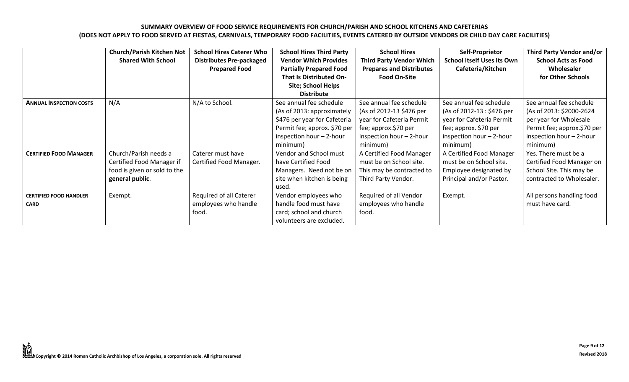|                                              | <b>Church/Parish Kitchen Not</b><br><b>Shared With School</b>                                         | <b>School Hires Caterer Who</b><br><b>Distributes Pre-packaged</b><br><b>Prepared Food</b> | <b>School Hires Third Party</b><br><b>Vendor Which Provides</b><br><b>Partially Prepared Food</b><br>That Is Distributed On-<br><b>Site; School Helps</b><br><b>Distribute</b> | <b>School Hires</b><br><b>Third Party Vendor Which</b><br><b>Prepares and Distributes</b><br><b>Food On-Site</b>                                 | Self-Proprietor<br><b>School Itself Uses Its Own</b><br>Cafeteria/Kitchen                                                                           | Third Party Vendor and/or<br><b>School Acts as Food</b><br>Wholesaler<br>for Other Schools                                                           |
|----------------------------------------------|-------------------------------------------------------------------------------------------------------|--------------------------------------------------------------------------------------------|--------------------------------------------------------------------------------------------------------------------------------------------------------------------------------|--------------------------------------------------------------------------------------------------------------------------------------------------|-----------------------------------------------------------------------------------------------------------------------------------------------------|------------------------------------------------------------------------------------------------------------------------------------------------------|
| <b>ANNUAL INSPECTION COSTS</b>               | N/A                                                                                                   | N/A to School.                                                                             | See annual fee schedule<br>(As of 2013: approximately<br>\$476 per year for Cafeteria<br>Permit fee; approx. \$70 per<br>inspection hour - 2-hour<br>minimum)                  | See annual fee schedule<br>(As of 2012-13 \$476 per<br>year for Cafeteria Permit<br>fee; approx.\$70 per<br>inspection hour - 2-hour<br>minimum) | See annual fee schedule<br>(As of 2012-13 : \$476 per<br>year for Cafeteria Permit<br>fee; approx. \$70 per<br>inspection hour - 2-hour<br>minimum) | See annual fee schedule<br>(As of 2013: \$2000-2624<br>per year for Wholesale<br>Permit fee; approx.\$70 per<br>inspection hour - 2-hour<br>minimum) |
| <b>CERTIFIED FOOD MANAGER</b>                | Church/Parish needs a<br>Certified Food Manager if<br>food is given or sold to the<br>general public. | Caterer must have<br>Certified Food Manager.                                               | Vendor and School must<br>have Certified Food<br>Managers. Need not be on<br>site when kitchen is being<br>used.                                                               | A Certified Food Manager<br>must be on School site.<br>This may be contracted to<br>Third Party Vendor.                                          | A Certified Food Manager<br>must be on School site.<br>Employee designated by<br>Principal and/or Pastor.                                           | Yes. There must be a<br>Certified Food Manager on<br>School Site. This may be<br>contracted to Wholesaler.                                           |
| <b>CERTIFIED FOOD HANDLER</b><br><b>CARD</b> | Exempt.                                                                                               | Required of all Caterer<br>employees who handle<br>food.                                   | Vendor employees who<br>handle food must have<br>card; school and church<br>volunteers are excluded.                                                                           | Required of all Vendor<br>employees who handle<br>food.                                                                                          | Exempt.                                                                                                                                             | All persons handling food<br>must have card.                                                                                                         |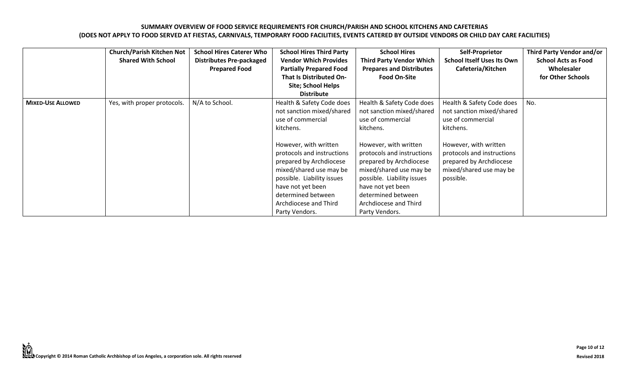|                          | <b>Church/Parish Kitchen Not</b><br><b>Shared With School</b> | <b>School Hires Caterer Who</b><br><b>Distributes Pre-packaged</b><br><b>Prepared Food</b> | <b>School Hires Third Party</b><br><b>Vendor Which Provides</b><br><b>Partially Prepared Food</b><br>That Is Distributed On-<br><b>Site; School Helps</b><br><b>Distribute</b>                                                                                                                                            | <b>School Hires</b><br><b>Third Party Vendor Which</b><br><b>Prepares and Distributes</b><br><b>Food On-Site</b>                                                                                                                                                                                                          | Self-Proprietor<br><b>School Itself Uses Its Own</b><br>Cafeteria/Kitchen                                                                                                                                          | Third Party Vendor and/or<br><b>School Acts as Food</b><br>Wholesaler<br>for Other Schools |
|--------------------------|---------------------------------------------------------------|--------------------------------------------------------------------------------------------|---------------------------------------------------------------------------------------------------------------------------------------------------------------------------------------------------------------------------------------------------------------------------------------------------------------------------|---------------------------------------------------------------------------------------------------------------------------------------------------------------------------------------------------------------------------------------------------------------------------------------------------------------------------|--------------------------------------------------------------------------------------------------------------------------------------------------------------------------------------------------------------------|--------------------------------------------------------------------------------------------|
| <b>MIXED-USE ALLOWED</b> | Yes, with proper protocols.                                   | N/A to School.                                                                             | Health & Safety Code does<br>not sanction mixed/shared<br>use of commercial<br>kitchens.<br>However, with written<br>protocols and instructions<br>prepared by Archdiocese<br>mixed/shared use may be<br>possible. Liability issues<br>have not yet been<br>determined between<br>Archdiocese and Third<br>Party Vendors. | Health & Safety Code does<br>not sanction mixed/shared<br>use of commercial<br>kitchens.<br>However, with written<br>protocols and instructions<br>prepared by Archdiocese<br>mixed/shared use may be<br>possible. Liability issues<br>have not yet been<br>determined between<br>Archdiocese and Third<br>Party Vendors. | Health & Safety Code does<br>not sanction mixed/shared<br>use of commercial<br>kitchens.<br>However, with written<br>protocols and instructions<br>prepared by Archdiocese<br>mixed/shared use may be<br>possible. | No.                                                                                        |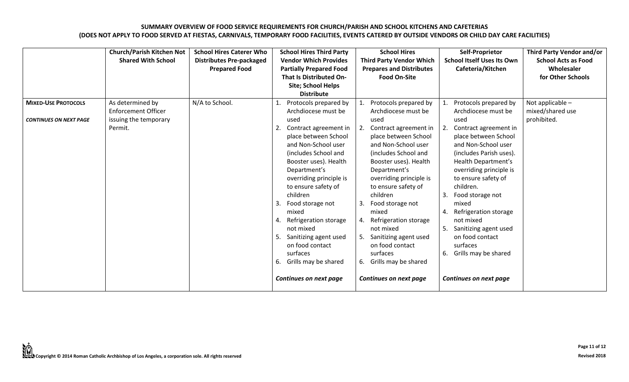|                               | <b>Church/Parish Kitchen Not</b><br><b>Shared With School</b> | <b>School Hires Caterer Who</b><br><b>Distributes Pre-packaged</b><br><b>Prepared Food</b> | <b>School Hires Third Party</b><br><b>Vendor Which Provides</b><br><b>Partially Prepared Food</b><br><b>That Is Distributed On-</b><br><b>Site; School Helps</b><br><b>Distribute</b>                                                                                                                                                                                                                                      | <b>School Hires</b><br><b>Third Party Vendor Which</b><br><b>Prepares and Distributes</b><br><b>Food On-Site</b>                                                                                                                                                                                                                                                                                                 | Self-Proprietor<br><b>School Itself Uses Its Own</b><br>Cafeteria/Kitchen                                                                                                                                                                                                                                                                                                                           | Third Party Vendor and/or<br><b>School Acts as Food</b><br>Wholesaler<br>for Other Schools |
|-------------------------------|---------------------------------------------------------------|--------------------------------------------------------------------------------------------|----------------------------------------------------------------------------------------------------------------------------------------------------------------------------------------------------------------------------------------------------------------------------------------------------------------------------------------------------------------------------------------------------------------------------|------------------------------------------------------------------------------------------------------------------------------------------------------------------------------------------------------------------------------------------------------------------------------------------------------------------------------------------------------------------------------------------------------------------|-----------------------------------------------------------------------------------------------------------------------------------------------------------------------------------------------------------------------------------------------------------------------------------------------------------------------------------------------------------------------------------------------------|--------------------------------------------------------------------------------------------|
| <b>MIXED-USE PROTOCOLS</b>    | As determined by<br><b>Enforcement Officer</b>                | N/A to School.                                                                             | Protocols prepared by<br>Archdiocese must be                                                                                                                                                                                                                                                                                                                                                                               | Protocols prepared by<br>Archdiocese must be                                                                                                                                                                                                                                                                                                                                                                     | Protocols prepared by<br>Archdiocese must be                                                                                                                                                                                                                                                                                                                                                        | Not applicable $-$<br>mixed/shared use                                                     |
| <b>CONTINUES ON NEXT PAGE</b> | issuing the temporary<br>Permit.                              |                                                                                            | used<br>Contract agreement in<br>place between School<br>and Non-School user<br>(includes School and<br>Booster uses). Health<br>Department's<br>overriding principle is<br>to ensure safety of<br>children<br>-3.<br>Food storage not<br>mixed<br>Refrigeration storage<br>$\mathbf{4}$<br>not mixed<br>Sanitizing agent used<br>5<br>on food contact<br>surfaces<br>Grills may be shared<br>6.<br>Continues on next page | used<br>2.<br>Contract agreement in<br>place between School<br>and Non-School user<br>(includes School and<br>Booster uses). Health<br>Department's<br>overriding principle is<br>to ensure safety of<br>children<br>3.<br>Food storage not<br>mixed<br>Refrigeration storage<br>4.<br>not mixed<br>Sanitizing agent used<br>on food contact<br>surfaces<br>Grills may be shared<br>6.<br>Continues on next page | used<br>2. Contract agreement in<br>place between School<br>and Non-School user<br>(includes Parish uses).<br>Health Department's<br>overriding principle is<br>to ensure safety of<br>children.<br>Food storage not<br>3.<br>mixed<br>4. Refrigeration storage<br>not mixed<br>5. Sanitizing agent used<br>on food contact<br>surfaces<br>6. Grills may be shared<br><b>Continues on next page</b> | prohibited.                                                                                |